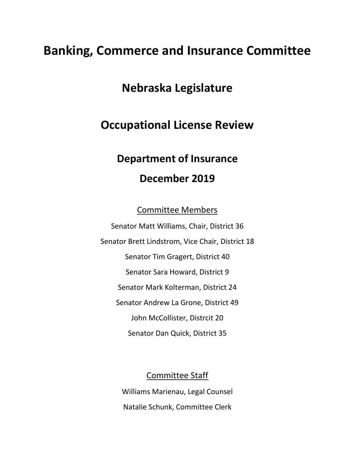## **Banking, Commerce and Insurance Committee**

## **Nebraska Legislature**

## **Occupational License Review**

# **Department of Insurance December 2019**

Committee Members

Senator Matt Williams, Chair, District 36 Senator Brett Lindstrom, Vice Chair, District 18 Senator Tim Gragert, District 40 Senator Sara Howard, District 9 Senator Mark Kolterman, District 24 Senator Andrew La Grone, District 49 John McCollister, Distrcit 20 Senator Dan Quick, District 35

Committee Staff

Williams Marienau, Legal Counsel Natalie Schunk, Committee Clerk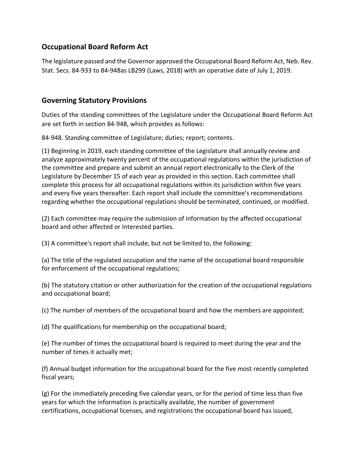#### **Occupational Board Reform Act**

The legislature passed and the Governor approved the Occupational Board Reform Act, Neb. Rev. Stat. Secs. 84-933 to 84-948as LB299 (Laws, 2018) with an operative date of July 1, 2019.

#### **Governing Statutory Provisions**

Duties of the standing committees of the Legislature under the Occupational Board Reform Act are set forth in section 84-948, which provides as follows:

84-948. Standing committee of Legislature; duties; report; contents.

(1) Beginning in 2019, each standing committee of the Legislature shall annually review and analyze approximately twenty percent of the occupational regulations within the jurisdiction of the committee and prepare and submit an annual report electronically to the Clerk of the Legislature by December 15 of each year as provided in this section. Each committee shall complete this process for all occupational regulations within its jurisdiction within five years and every five years thereafter. Each report shall include the committee's recommendations regarding whether the occupational regulations should be terminated, continued, or modified.

(2) Each committee may require the submission of information by the affected occupational board and other affected or interested parties.

(3) A committee's report shall include, but not be limited to, the following:

(a) The title of the regulated occupation and the name of the occupational board responsible for enforcement of the occupational regulations;

(b) The statutory citation or other authorization for the creation of the occupational regulations and occupational board;

(c) The number of members of the occupational board and how the members are appointed;

(d) The qualifications for membership on the occupational board;

(e) The number of times the occupational board is required to meet during the year and the number of times it actually met;

(f) Annual budget information for the occupational board for the five most recently completed fiscal years;

(g) For the immediately preceding five calendar years, or for the period of time less than five years for which the information is practically available, the number of government certifications, occupational licenses, and registrations the occupational board has issued,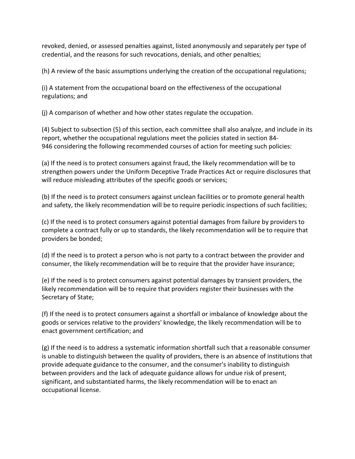revoked, denied, or assessed penalties against, listed anonymously and separately per type of credential, and the reasons for such revocations, denials, and other penalties;

(h) A review of the basic assumptions underlying the creation of the occupational regulations;

(i) A statement from the occupational board on the effectiveness of the occupational regulations; and

(j) A comparison of whether and how other states regulate the occupation.

(4) Subject to subsection (5) of this section, each committee shall also analyze, and include in its report, whether the occupational regulations meet the policies stated in section [84-](https://nebraskalegislature.gov/laws/statutes.php?statute=84-946) [946](https://nebraskalegislature.gov/laws/statutes.php?statute=84-946) considering the following recommended courses of action for meeting such policies:

(a) If the need is to protect consumers against fraud, the likely recommendation will be to strengthen powers under the Uniform Deceptive Trade Practices Act or require disclosures that will reduce misleading attributes of the specific goods or services;

(b) If the need is to protect consumers against unclean facilities or to promote general health and safety, the likely recommendation will be to require periodic inspections of such facilities;

(c) If the need is to protect consumers against potential damages from failure by providers to complete a contract fully or up to standards, the likely recommendation will be to require that providers be bonded;

(d) If the need is to protect a person who is not party to a contract between the provider and consumer, the likely recommendation will be to require that the provider have insurance;

(e) If the need is to protect consumers against potential damages by transient providers, the likely recommendation will be to require that providers register their businesses with the Secretary of State;

(f) If the need is to protect consumers against a shortfall or imbalance of knowledge about the goods or services relative to the providers' knowledge, the likely recommendation will be to enact government certification; and

(g) If the need is to address a systematic information shortfall such that a reasonable consumer is unable to distinguish between the quality of providers, there is an absence of institutions that provide adequate guidance to the consumer, and the consumer's inability to distinguish between providers and the lack of adequate guidance allows for undue risk of present, significant, and substantiated harms, the likely recommendation will be to enact an occupational license.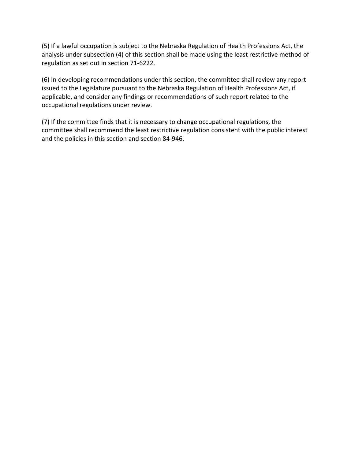(5) If a lawful occupation is subject to the Nebraska Regulation of Health Professions Act, the analysis under subsection (4) of this section shall be made using the least restrictive method of regulation as set out in section [71-6222.](https://nebraskalegislature.gov/laws/statutes.php?statute=71-6222)

(6) In developing recommendations under this section, the committee shall review any report issued to the Legislature pursuant to the Nebraska Regulation of Health Professions Act, if applicable, and consider any findings or recommendations of such report related to the occupational regulations under review.

(7) If the committee finds that it is necessary to change occupational regulations, the committee shall recommend the least restrictive regulation consistent with the public interest and the policies in this section and section [84-946.](https://nebraskalegislature.gov/laws/statutes.php?statute=84-946)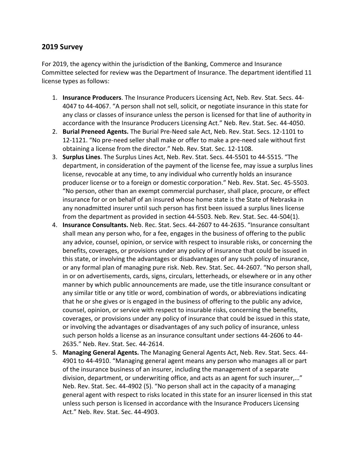#### **2019 Survey**

For 2019, the agency within the jurisdiction of the Banking, Commerce and Insurance Committee selected for review was the Department of Insurance. The department identified 11 license types as follows:

- 1. **Insurance Producers**. The Insurance Producers Licensing Act, Neb. Rev. Stat. Secs. 44- 4047 to 44-4067. "A person shall not sell, solicit, or negotiate insurance in this state for any class or classes of insurance unless the person is licensed for that line of authority in accordance with the Insurance Producers Licensing Act." Neb. Rev. Stat. Sec. 44-4050.
- 2. **Burial Preneed Agents.** The Burial Pre-Need sale Act, Neb. Rev. Stat. Secs. 12-1101 to 12-1121. "No pre-need seller shall make or offer to make a pre-need sale without first obtaining a license from the director." Neb. Rev. Stat. Sec. 12-1108.
- 3. **Surplus Lines**. The Surplus Lines Act, Neb. Rev. Stat. Secs. 44-5501 to 44-5515. "The department, in consideration of the payment of the license fee, may issue a surplus lines license, revocable at any time, to any individual who currently holds an insurance producer license or to a foreign or domestic corporation." Neb. Rev. Stat. Sec. 45-5503. "No person, other than an exempt commercial purchaser, shall place, procure, or effect insurance for or on behalf of an insured whose home state is the State of Nebraska in any nonadmitted insurer until such person has first been issued a surplus lines license from the department as provided in section 44-5503. Neb. Rev. Stat. Sec. 44-504(1).
- 4. **Insurance Consultants.** Neb. Rec. Stat. Secs. 44-2607 to 44-2635. "Insurance consultant shall mean any person who, for a fee, engages in the business of offering to the public any advice, counsel, opinion, or service with respect to insurable risks, or concerning the benefits, coverages, or provisions under any policy of insurance that could be issued in this state, or involving the advantages or disadvantages of any such policy of insurance, or any formal plan of managing pure risk. Neb. Rev. Stat. Sec. 44-2607. "No person shall, in or on advertisements, cards, signs, circulars, letterheads, or elsewhere or in any other manner by which public announcements are made, use the title insurance consultant or any similar title or any title or word, combination of words, or abbreviations indicating that he or she gives or is engaged in the business of offering to the public any advice, counsel, opinion, or service with respect to insurable risks, concerning the benefits, coverages, or provisions under any policy of insurance that could be issued in this state, or involving the advantages or disadvantages of any such policy of insurance, unless such person holds a license as an insurance consultant under sections 44-2606 to 44- 2635." Neb. Rev. Stat. Sec. 44-2614.
- 5. **Managing General Agents.** The Managing General Agents Act, Neb. Rev. Stat. Secs. 44- 4901 to 44-4910. "Managing general agent means any person who manages all or part of the insurance business of an insurer, including the management of a separate division, department, or underwriting office, and acts as an agent for such insurer,…" Neb. Rev. Stat. Sec. 44-4902 (5). "No person shall act in the capacity of a managing general agent with respect to risks located in this state for an insurer licensed in this stat unless such person is licensed in accordance with the Insurance Producers Licensing Act." Neb. Rev. Stat. Sec. 44-4903.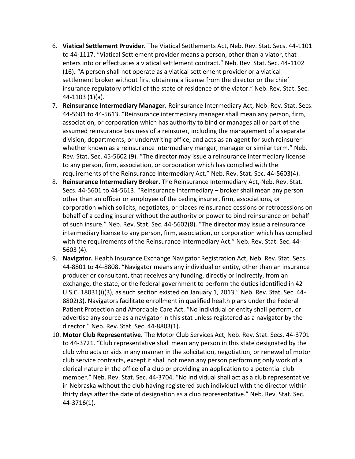- 6. **Viatical Settlement Provider.** The Viatical Settlements Act, Neb. Rev. Stat. Secs. 44-1101 to 44-1117. "Viatical Settlement provider means a person, other than a viator, that enters into or effectuates a viatical settlement contract." Neb. Rev. Stat. Sec. 44-1102 (16). "A person shall not operate as a viatical settlement provider or a viatical settlement broker without first obtaining a license from the director or the chief insurance regulatory official of the state of residence of the viator." Neb. Rev. Stat. Sec. 44-1103 (1)(a).
- 7. **Reinsurance Intermediary Manager.** Reinsurance Intermediary Act, Neb. Rev. Stat. Secs. 44-5601 to 44-5613. "Reinsurance intermediary manager shall mean any person, firm, association, or corporation which has authority to bind or manages all or part of the assumed reinsurance business of a reinsurer, including the management of a separate division, departments, or underwriting office, and acts as an agent for such reinsurer whether known as a reinsurance intermediary manger, manager or similar term." Neb. Rev. Stat. Sec. 45-5602 (9). "The director may issue a reinsurance intermediary license to any person, firm, association, or corporation which has complied with the requirements of the Reinsurance Intermediary Act." Neb. Rev. Stat. Sec. 44-5603(4).
- 8. **Reinsurance Intermediary Broker.** The Reinsurance Intermediary Act, Neb. Rev. Stat. Secs. 44-5601 to 44-5613. "Reinsurance Intermediary – broker shall mean any person other than an officer or employee of the ceding insurer, firm, associations, or corporation which solicits, negotiates, or places reinsurance cessions or retrocessions on behalf of a ceding insurer without the authority or power to bind reinsurance on behalf of such insure." Neb. Rev. Stat. Sec. 44-5602(8). "The director may issue a reinsurance intermediary license to any person, firm, association, or corporation which has complied with the requirements of the Reinsurance Intermediary Act." Neb. Rev. Stat. Sec. 44- 5603 (4).
- 9. **Navigator.** Health Insurance Exchange Navigator Registration Act, Neb. Rev. Stat. Secs. 44-8801 to 44-8808. "Navigator means any individual or entity, other than an insurance producer or consultant, that receives any funding, directly or indirectly, from an exchange, the state, or the federal government to perform the duties identified in 42 U.S.C. 18031(i)(3), as such section existed on January 1, 2013." Neb. Rev. Stat. Sec. 44- 8802(3). Navigators facilitate enrollment in qualified health plans under the Federal Patient Protection and Affordable Care Act. "No individual or entity shall perform, or advertise any source as a navigator in this stat unless registered as a navigator by the director." Neb. Rev. Stat. Sec. 44-8803(1).
- 10. **Motor Club Representative.** The Motor Club Services Act, Neb. Rev. Stat. Secs. 44-3701 to 44-3721. "Club representative shall mean any person in this state designated by the club who acts or aids in any manner in the solicitation, negotiation, or renewal of motor club service contracts, except it shall not mean any person performing only work of a clerical nature in the office of a club or providing an application to a potential club member." Neb. Rev. Stat. Sec. 44-3704. "No individual shall act as a club representative in Nebraska without the club having registered such individual with the director within thirty days after the date of designation as a club representative." Neb. Rev. Stat. Sec. 44-3716(1).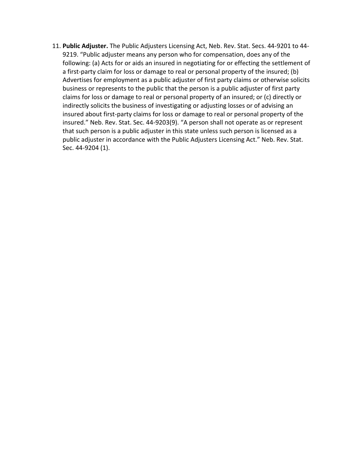11. **Public Adjuster.** The Public Adjusters Licensing Act, Neb. Rev. Stat. Secs. 44-9201 to 44- 9219. "Public adjuster means any person who for compensation, does any of the following: (a) Acts for or aids an insured in negotiating for or effecting the settlement of a first-party claim for loss or damage to real or personal property of the insured; (b) Advertises for employment as a public adjuster of first party claims or otherwise solicits business or represents to the public that the person is a public adjuster of first party claims for loss or damage to real or personal property of an insured; or (c) directly or indirectly solicits the business of investigating or adjusting losses or of advising an insured about first-party claims for loss or damage to real or personal property of the insured." Neb. Rev. Stat. Sec. 44-9203(9). "A person shall not operate as or represent that such person is a public adjuster in this state unless such person is licensed as a public adjuster in accordance with the Public Adjusters Licensing Act." Neb. Rev. Stat. Sec. 44-9204 (1).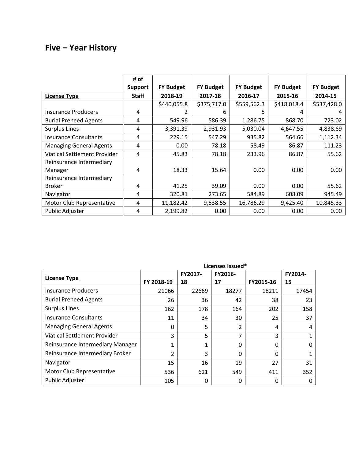## **Five – Year History**

|                                     | # of           |                  |                   |                  |                   |                   |
|-------------------------------------|----------------|------------------|-------------------|------------------|-------------------|-------------------|
|                                     | <b>Support</b> | <b>FY Budget</b> | <b>FY Budget</b>  | <b>FY Budget</b> | <b>FY Budget</b>  | <b>FY Budget</b>  |
| <b>License Type</b>                 | <b>Staff</b>   | 2018-19          | 2017-18           | 2016-17          | 2015-16           | 2014-15           |
|                                     |                | \$440,055.8      | \$375,717.0       | \$559,562.3      | \$418,018.4       | \$537,428.0       |
| Insurance Producers                 | 4              |                  | 6                 | 5                | 4                 | 4                 |
| <b>Burial Preneed Agents</b>        | 4              | 549.96           | 586.39            | 1,286.75         | 868.70            | 723.02            |
| <b>Surplus Lines</b>                | 4              | 3,391.39         | 2,931.93          | 5,030.04         | 4,647.55          | 4,838.69          |
| <b>Insurance Consultants</b>        | 4              | 229.15           | 547.29            | 935.82           | 564.66            | 1,112.34          |
| <b>Managing General Agents</b>      | 4              | 0.00             | 78.18             | 58.49            | 86.87             | 111.23            |
| <b>Viatical Settlement Provider</b> | 4              | 45.83            | 78.18             | 233.96           | 86.87             | 55.62             |
| Reinsurance Intermediary            |                |                  |                   |                  |                   |                   |
| Manager                             | 4              | 18.33            | 15.64             | 0.00             | 0.00 <sub>1</sub> | 0.00              |
| Reinsurance Intermediary            |                |                  |                   |                  |                   |                   |
| <b>Broker</b>                       | 4              | 41.25            | 39.09             | 0.00             | 0.00 <sub>1</sub> | 55.62             |
| Navigator                           | 4              | 320.81           | 273.65            | 584.89           | 608.09            | 945.49            |
| Motor Club Representative           | 4              | 11,182.42        | 9,538.55          | 16,786.29        | 9,425.40          | 10,845.33         |
| Public Adjuster                     | 4              | 2,199.82         | 0.00 <sub>1</sub> | 0.00             | 0.00 <sub>1</sub> | 0.00 <sub>1</sub> |

|                                  | Licenses Issued* |               |               |              |               |
|----------------------------------|------------------|---------------|---------------|--------------|---------------|
| <b>License Type</b>              | FY 2018-19       | FY2017-<br>18 | FY2016-<br>17 | FY2015-16    | FY2014-<br>15 |
| <b>Insurance Producers</b>       | 21066            | 22669         | 18277         | 18211        | 17454         |
| <b>Burial Preneed Agents</b>     | 26               | 36            | 42            | 38           | 23            |
| Surplus Lines                    | 162              | 178           | 164           | 202          | 158           |
| <b>Insurance Consultants</b>     | 11               | 34            | 30            | 25           | 37            |
| <b>Managing General Agents</b>   | 0                | 5             | 2             | 4            | 4             |
| Viatical Settlement Provider     | 3                | 5             | 7             | 3            |               |
| Reinsurance Intermediary Manager | 1                | 1             | 0             | 0            | 0             |
| Reinsurance Intermediary Broker  | $\mathfrak{p}$   | 3             | 0             | $\Omega$     |               |
| Navigator                        | 15               | 16            | 19            | 27           | 31            |
| Motor Club Representative        | 536              | 621           | 549           | 411          | 352           |
| <b>Public Adjuster</b>           | 105              | 0             | 0             | $\mathbf{0}$ | 0             |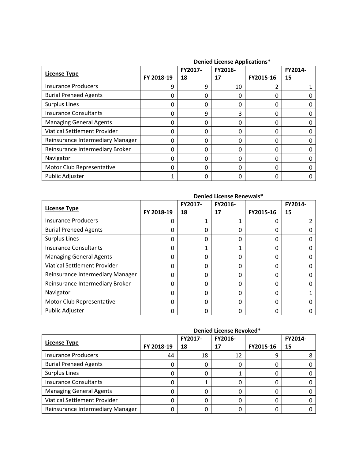|                                  | <b>Defined Literise Applications</b> |         |         |           |         |
|----------------------------------|--------------------------------------|---------|---------|-----------|---------|
| <b>License Type</b>              |                                      | FY2017- | FY2016- |           | FY2014- |
|                                  | FY 2018-19                           | 18      | 17      | FY2015-16 | 15      |
| <b>Insurance Producers</b>       | q                                    | 9       | 10      |           |         |
| <b>Burial Preneed Agents</b>     | 0                                    | 0       | 0       | 0         |         |
| <b>Surplus Lines</b>             | 0                                    | 0       | 0       | 0         |         |
| <b>Insurance Consultants</b>     | 0                                    | 9       | 3       | 0         |         |
| <b>Managing General Agents</b>   | 0                                    | 0       | 0       | 0         |         |
| Viatical Settlement Provider     | 0                                    | 0       | 0       | 0         |         |
| Reinsurance Intermediary Manager | 0                                    | 0       | 0       | 0         |         |
| Reinsurance Intermediary Broker  | 0                                    | 0       | 0       | 0         |         |
| Navigator                        | 0                                    | 0       | 0       | 0         |         |
| Motor Club Representative        | 0                                    | 0       | 0       | 0         |         |
| Public Adjuster                  |                                      |         | 0       | 0         |         |

#### **Denied License Applications\***

|                                  | Denied License Renewals* |         |         |           |         |
|----------------------------------|--------------------------|---------|---------|-----------|---------|
| <b>License Type</b>              |                          | FY2017- | FY2016- |           | FY2014- |
|                                  | FY 2018-19               | 18      | 17      | FY2015-16 | 15      |
| Insurance Producers              | 0                        | 1       | 1       | 0         |         |
| <b>Burial Preneed Agents</b>     | 0                        | 0       | 0       | 0         | 0       |
| <b>Surplus Lines</b>             | 0                        | 0       | 0       | 0         | 0       |
| <b>Insurance Consultants</b>     | 0                        |         | 1       | 0         | 0       |
| <b>Managing General Agents</b>   | 0                        | 0       | 0       | 0         | 0       |
| Viatical Settlement Provider     | 0                        | 0       | 0       | 0         | 0       |
| Reinsurance Intermediary Manager | 0                        | 0       | 0       | 0         | 0       |
| Reinsurance Intermediary Broker  | $\Omega$                 | 0       | 0       | 0         | 0       |
| Navigator                        | 0                        | 0       | 0       | 0         |         |
| Motor Club Representative        | 0                        | 0       | 0       | 0         | 0       |
| Public Adjuster                  | 0                        | 0       | 0       | 0         | O       |

|                                     | Denied License Revoked* |         |         |           |         |
|-------------------------------------|-------------------------|---------|---------|-----------|---------|
|                                     |                         | FY2017- | FY2016- |           | FY2014- |
| License Type                        | FY 2018-19              | 18      | 17      | FY2015-16 | 15      |
| <b>Insurance Producers</b>          | 44                      | 18      | 12      | 9         |         |
| <b>Burial Preneed Agents</b>        |                         |         |         |           |         |
| <b>Surplus Lines</b>                |                         |         |         |           |         |
| <b>Insurance Consultants</b>        |                         |         | 0       | 0         |         |
| <b>Managing General Agents</b>      |                         |         |         |           |         |
| <b>Viatical Settlement Provider</b> |                         |         |         |           |         |
| Reinsurance Intermediary Manager    |                         |         |         |           |         |

#### **Denied License Revoked\***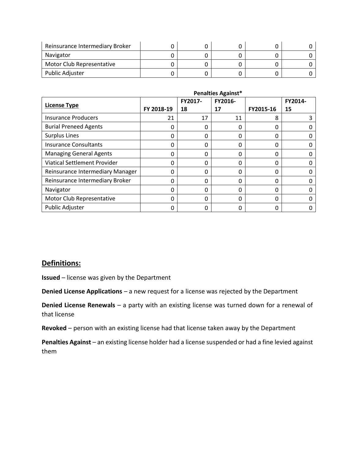| Reinsurance Intermediary Broker |  |  |  |
|---------------------------------|--|--|--|
| Navigator                       |  |  |  |
| Motor Club Representative       |  |  |  |
| Public Adjuster                 |  |  |  |

|                                  | <b>Penalties Against*</b> |               |               |           |               |
|----------------------------------|---------------------------|---------------|---------------|-----------|---------------|
| <b>License Type</b>              | FY 2018-19                | FY2017-<br>18 | FY2016-<br>17 | FY2015-16 | FY2014-<br>15 |
| <b>Insurance Producers</b>       | 21                        | 17            | 11            | 8         |               |
| <b>Burial Preneed Agents</b>     | 0                         | 0             | 0             | 0         |               |
| <b>Surplus Lines</b>             | 0                         | $\Omega$      | 0             | 0         |               |
| <b>Insurance Consultants</b>     | 0                         | $\Omega$      | 0             | 0         |               |
| <b>Managing General Agents</b>   | 0                         | 0             | 0             | 0         |               |
| Viatical Settlement Provider     | 0                         | $\Omega$      | 0             | 0         |               |
| Reinsurance Intermediary Manager | 0                         | $\Omega$      | 0             | 0         |               |
| Reinsurance Intermediary Broker  | 0                         | $\Omega$      | 0             | 0         |               |
| Navigator                        | 0                         | 0             | 0             | 0         |               |
| Motor Club Representative        | 0                         | $\Omega$      | 0             | 0         |               |
| Public Adjuster                  | 0                         | 0             | 0             | 0         |               |

#### **Definitions:**

**Issued** – license was given by the Department

**Denied License Applications** – a new request for a license was rejected by the Department

**Denied License Renewals** – a party with an existing license was turned down for a renewal of that license

**Revoked** – person with an existing license had that license taken away by the Department

**Penalties Against** – an existing license holder had a license suspended or had a fine levied against them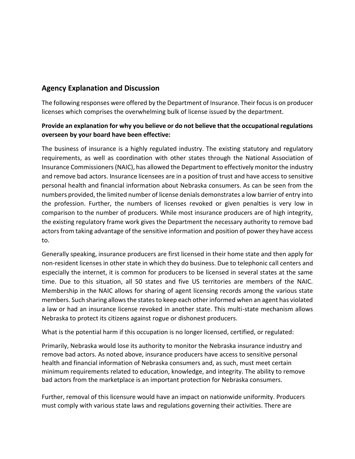#### **Agency Explanation and Discussion**

The following responses were offered by the Department of Insurance. Their focus is on producer licenses which comprises the overwhelming bulk of license issued by the department.

#### **Provide an explanation for why you believe or do not believe that the occupational regulations overseen by your board have been effective:**

The business of insurance is a highly regulated industry. The existing statutory and regulatory requirements, as well as coordination with other states through the National Association of Insurance Commissioners (NAIC), has allowed the Department to effectively monitor the industry and remove bad actors. Insurance licensees are in a position of trust and have access to sensitive personal health and financial information about Nebraska consumers. As can be seen from the numbers provided, the limited number of license denials demonstrates a low barrier of entry into the profession. Further, the numbers of licenses revoked or given penalties is very low in comparison to the number of producers. While most insurance producers are of high integrity, the existing regulatory frame work gives the Department the necessary authority to remove bad actors from taking advantage of the sensitive information and position of power they have access to.

Generally speaking, insurance producers are first licensed in their home state and then apply for non-resident licenses in other state in which they do business. Due to telephonic call centers and especially the internet, it is common for producers to be licensed in several states at the same time. Due to this situation, all 50 states and five US territories are members of the NAIC. Membership in the NAIC allows for sharing of agent licensing records among the various state members. Such sharing allows the states to keep each other informed when an agent has violated a law or had an insurance license revoked in another state. This multi-state mechanism allows Nebraska to protect its citizens against rogue or dishonest producers.

What is the potential harm if this occupation is no longer licensed, certified, or regulated:

Primarily, Nebraska would lose its authority to monitor the Nebraska insurance industry and remove bad actors. As noted above, insurance producers have access to sensitive personal health and financial information of Nebraska consumers and, as such, must meet certain minimum requirements related to education, knowledge, and integrity. The ability to remove bad actors from the marketplace is an important protection for Nebraska consumers.

Further, removal of this licensure would have an impact on nationwide uniformity. Producers must comply with various state laws and regulations governing their activities. There are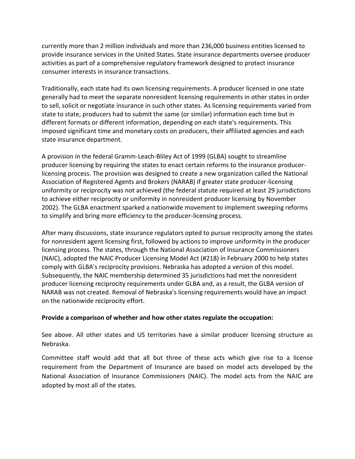currently more than 2 million individuals and more than 236,000 business entities licensed to provide insurance services in the United States. State insurance departments oversee producer activities as part of a comprehensive regulatory framework designed to protect insurance consumer interests in insurance transactions.

Traditionally, each state had its own licensing requirements. A producer licensed in one state generally had to meet the separate nonresident licensing requirements in other states in order to sell, solicit or negotiate insurance in such other states. As licensing requirements varied from state to state, producers had to submit the same (or similar) information each time but in different formats or different information, depending on each state's requirements. This imposed significant time and monetary costs on producers, their affiliated agencies and each state insurance department.

A provision in the federal Gramm-Leach-Bliley Act of 1999 (GLBA) sought to streamline producer licensing by requiring the states to enact certain reforms to the insurance producerlicensing process. The provision was designed to create a new organization called the National Association of Registered Agents and Brokers (NARAB) if greater state producer-licensing uniformity or reciprocity was not achieved (the federal statute required at least 29 jurisdictions to achieve either reciprocity or uniformity in nonresident producer licensing by November 2002). The GLBA enactment sparked a nationwide movement to implement sweeping reforms to simplify and bring more efficiency to the producer-licensing process.

After many discussions, state insurance regulators opted to pursue reciprocity among the states for nonresident agent licensing first, followed by actions to improve uniformity in the producer licensing process. The states, through the National Association of Insurance Commissioners (NAIC), adopted the NAIC Producer Licensing Model Act (#218) in February 2000 to help states comply with GLBA's reciprocity provisions. Nebraska has adopted a version of this model. Subsequently, the NAIC membership determined 35 jurisdictions had met the nonresident producer licensing reciprocity requirements under GLBA and, as a result, the GLBA version of NARAB was not created. Removal of Nebraska's licensing requirements would have an impact on the nationwide reciprocity effort.

#### **Provide a comparison of whether and how other states regulate the occupation:**

See above. All other states and US territories have a similar producer licensing structure as Nebraska.

Committee staff would add that all but three of these acts which give rise to a license requirement from the Department of Insurance are based on model acts developed by the National Association of Insurance Commissioners (NAIC). The model acts from the NAIC are adopted by most all of the states.